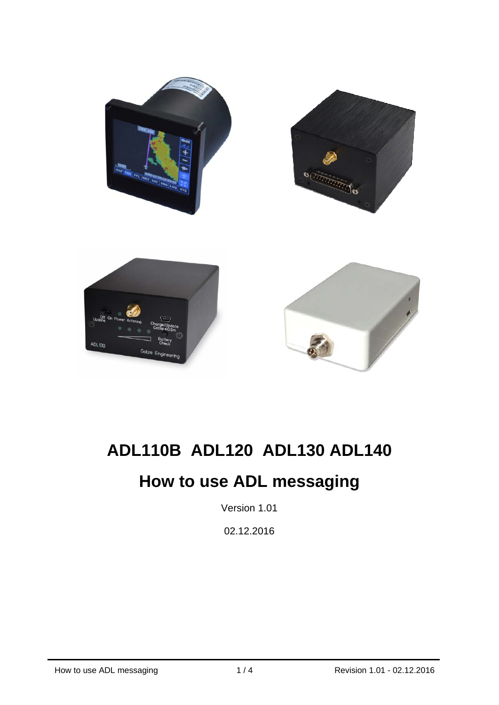

## **ADL110B ADL120 ADL130 ADL140**

# **How to use ADL messaging**

Version 1.01

02.12.2016

j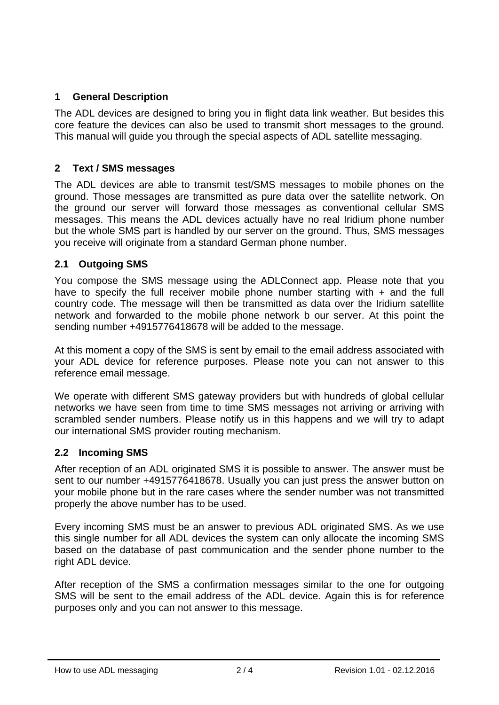## **1 General Description**

The ADL devices are designed to bring you in flight data link weather. But besides this core feature the devices can also be used to transmit short messages to the ground. This manual will guide you through the special aspects of ADL satellite messaging.

## **2 Text / SMS messages**

The ADL devices are able to transmit test/SMS messages to mobile phones on the ground. Those messages are transmitted as pure data over the satellite network. On the ground our server will forward those messages as conventional cellular SMS messages. This means the ADL devices actually have no real Iridium phone number but the whole SMS part is handled by our server on the ground. Thus, SMS messages you receive will originate from a standard German phone number.

## **2.1 Outgoing SMS**

You compose the SMS message using the ADLConnect app. Please note that you have to specify the full receiver mobile phone number starting with  $+$  and the full country code. The message will then be transmitted as data over the Iridium satellite network and forwarded to the mobile phone network b our server. At this point the sending number +4915776418678 will be added to the message.

At this moment a copy of the SMS is sent by email to the email address associated with your ADL device for reference purposes. Please note you can not answer to this reference email message.

We operate with different SMS gateway providers but with hundreds of global cellular networks we have seen from time to time SMS messages not arriving or arriving with scrambled sender numbers. Please notify us in this happens and we will try to adapt our international SMS provider routing mechanism.

#### **2.2 Incoming SMS**

After reception of an ADL originated SMS it is possible to answer. The answer must be sent to our number +4915776418678. Usually you can just press the answer button on your mobile phone but in the rare cases where the sender number was not transmitted properly the above number has to be used.

Every incoming SMS must be an answer to previous ADL originated SMS. As we use this single number for all ADL devices the system can only allocate the incoming SMS based on the database of past communication and the sender phone number to the right ADL device.

After reception of the SMS a confirmation messages similar to the one for outgoing SMS will be sent to the email address of the ADL device. Again this is for reference purposes only and you can not answer to this message.

j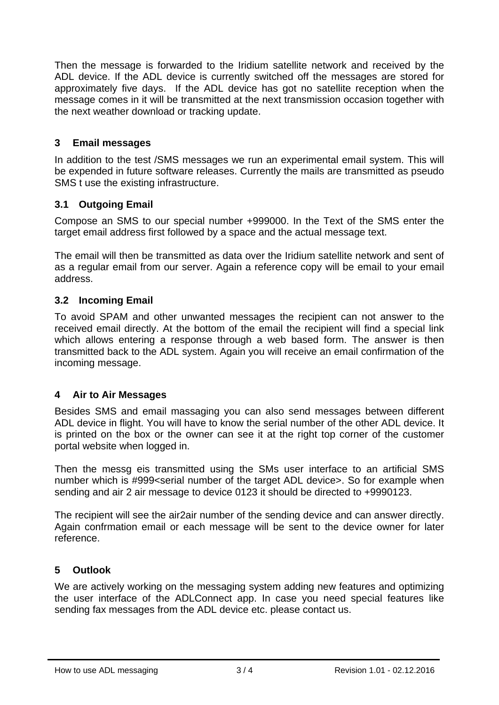Then the message is forwarded to the Iridium satellite network and received by the ADL device. If the ADL device is currently switched off the messages are stored for approximately five days. If the ADL device has got no satellite reception when the message comes in it will be transmitted at the next transmission occasion together with the next weather download or tracking update.

#### **3 Email messages**

In addition to the test /SMS messages we run an experimental email system. This will be expended in future software releases. Currently the mails are transmitted as pseudo SMS t use the existing infrastructure.

## **3.1 Outgoing Email**

Compose an SMS to our special number +999000. In the Text of the SMS enter the target email address first followed by a space and the actual message text.

The email will then be transmitted as data over the Iridium satellite network and sent of as a regular email from our server. Again a reference copy will be email to your email address.

## **3.2 Incoming Email**

To avoid SPAM and other unwanted messages the recipient can not answer to the received email directly. At the bottom of the email the recipient will find a special link which allows entering a response through a web based form. The answer is then transmitted back to the ADL system. Again you will receive an email confirmation of the incoming message.

#### **4 Air to Air Messages**

Besides SMS and email massaging you can also send messages between different ADL device in flight. You will have to know the serial number of the other ADL device. It is printed on the box or the owner can see it at the right top corner of the customer portal website when logged in.

Then the messg eis transmitted using the SMs user interface to an artificial SMS number which is #999<serial number of the target ADL device>. So for example when sending and air 2 air message to device 0123 it should be directed to +9990123.

The recipient will see the air2air number of the sending device and can answer directly. Again confrmation email or each message will be sent to the device owner for later reference.

#### **5 Outlook**

j

We are actively working on the messaging system adding new features and optimizing the user interface of the ADLConnect app. In case you need special features like sending fax messages from the ADL device etc. please contact us.